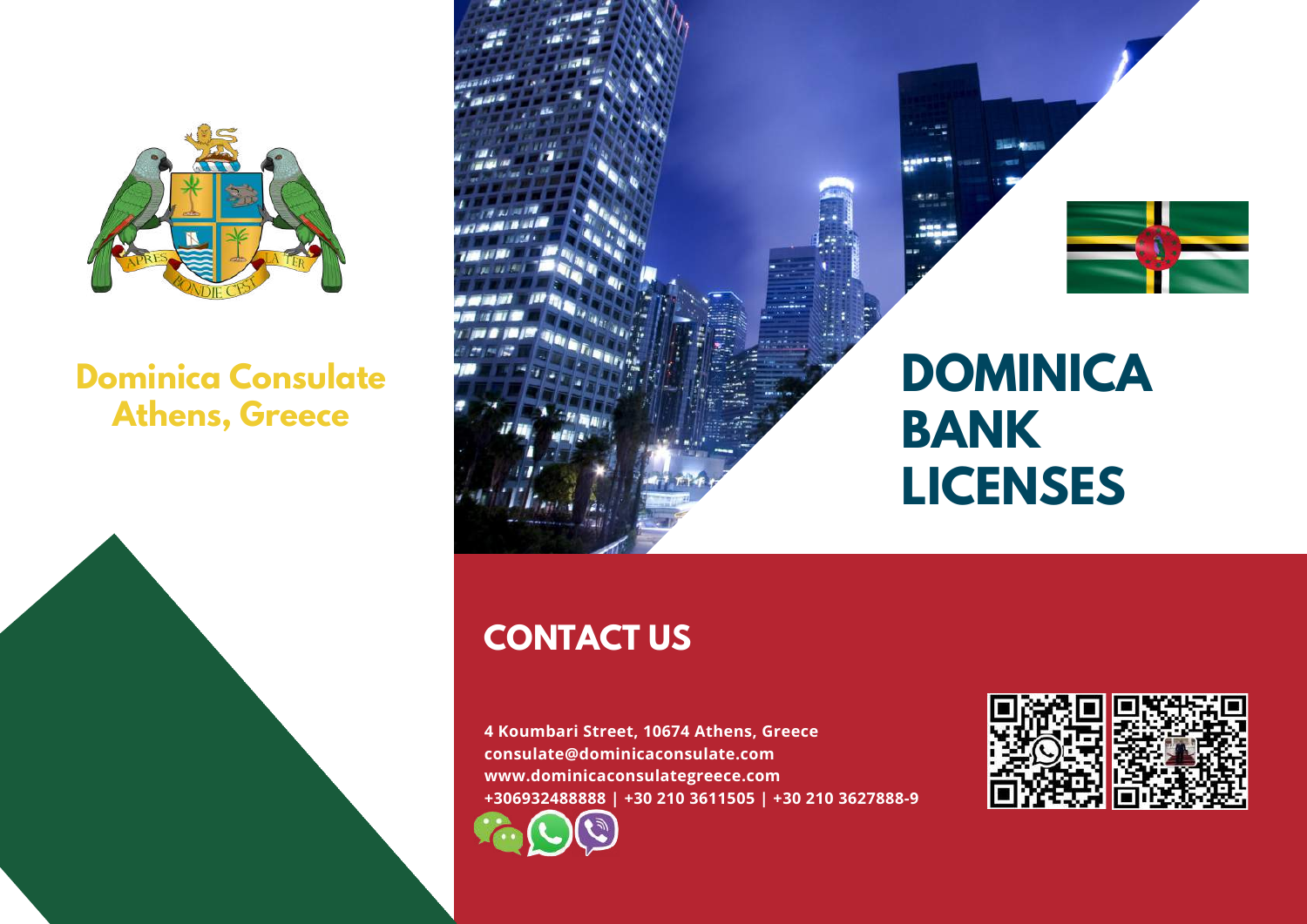

## **Dominica Consulate Athens, Greece**





# **CONTACT US**

**4 Koumbari Street, 10674 Athens, Greece consulate@dominicaconsulate.com www.dominicaconsulategreece.com +306932488888 | +30 210 3611505 | +30 210 3627888-9**

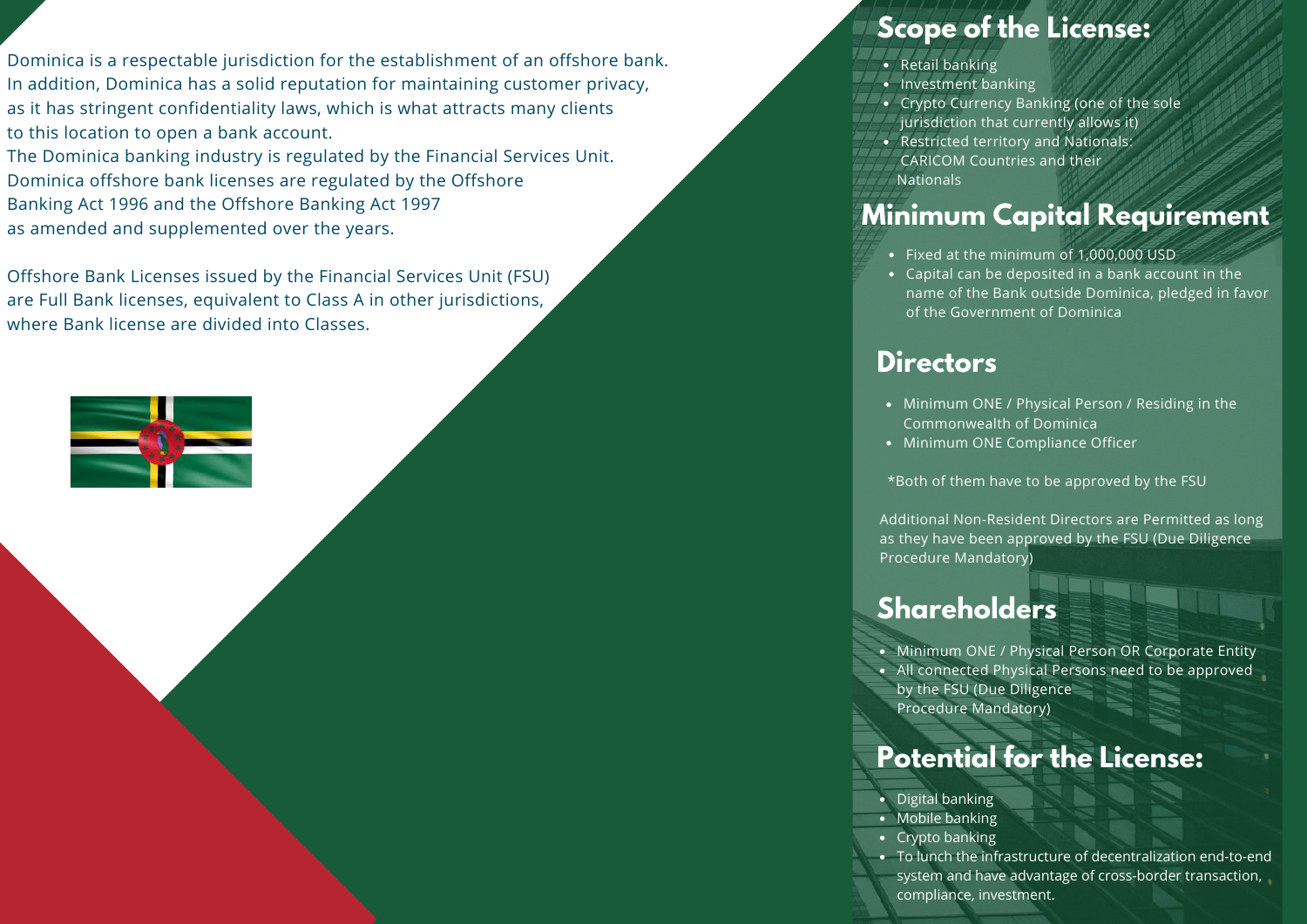Dominica is a respectable jurisdiction for the establishment of an offshore bank. In addition, Dominica has a solid reputation for maintaining customer privacy, as it has stringent confidentiality laws, which is what attracts many clients to this location to open a bank account.

The Dominica banking industry is regulated by the Financial Services Unit. Dominica offshore bank licenses are regulated by the Offshore Banking Act 1996 and the Offshore Banking Act 1997 as amended and supplemented over the years.

Offshore Bank Licenses issued by the Financial Services Unit (FSU) are Full Bank licenses, equivalent to Class A in other jurisdictions, where Bank license are divided into Classes.



#### **Scope of the License:**

- Retail banking
- Investment banking
- Crypto Currency Banking (one of the sole
- jurisdiction that currently allows it)
- Restricted territory and Nationals:
- CARICOM Countries and their **Nationals**

#### **Minimum Capital Requirement**

- Fixed at the minimum of 1,000,000 USD
- Capital can be deposited in a bank account in the name of the Bank outside Dominica, pledged in favor of the Government of Dominica

#### **Directors**

- Minimum ONE / Physical Person / Residing in the Commonwealth of Dominica
- Minimum ONE Compliance Officer

\*Both of them have to be approved by the FSU

Additional Non-Resident Directors are Permitted as long as they have been approved by the FSU (Due Diligence Procedure Mandatory)

### **Shareholders**

• Minimum ONE / Physical Person OR Corporate Entity All connected Physical Persons need to be approved by the FSU (Due Diligence Procedure Mandatory)

#### **Potential for the License:**

- Digital banking
- Mobile banking
- Crypto banking
- To lunch the infrastructure of decentralization end-to-end system and have advantage of cross-border transaction, compliance, investment.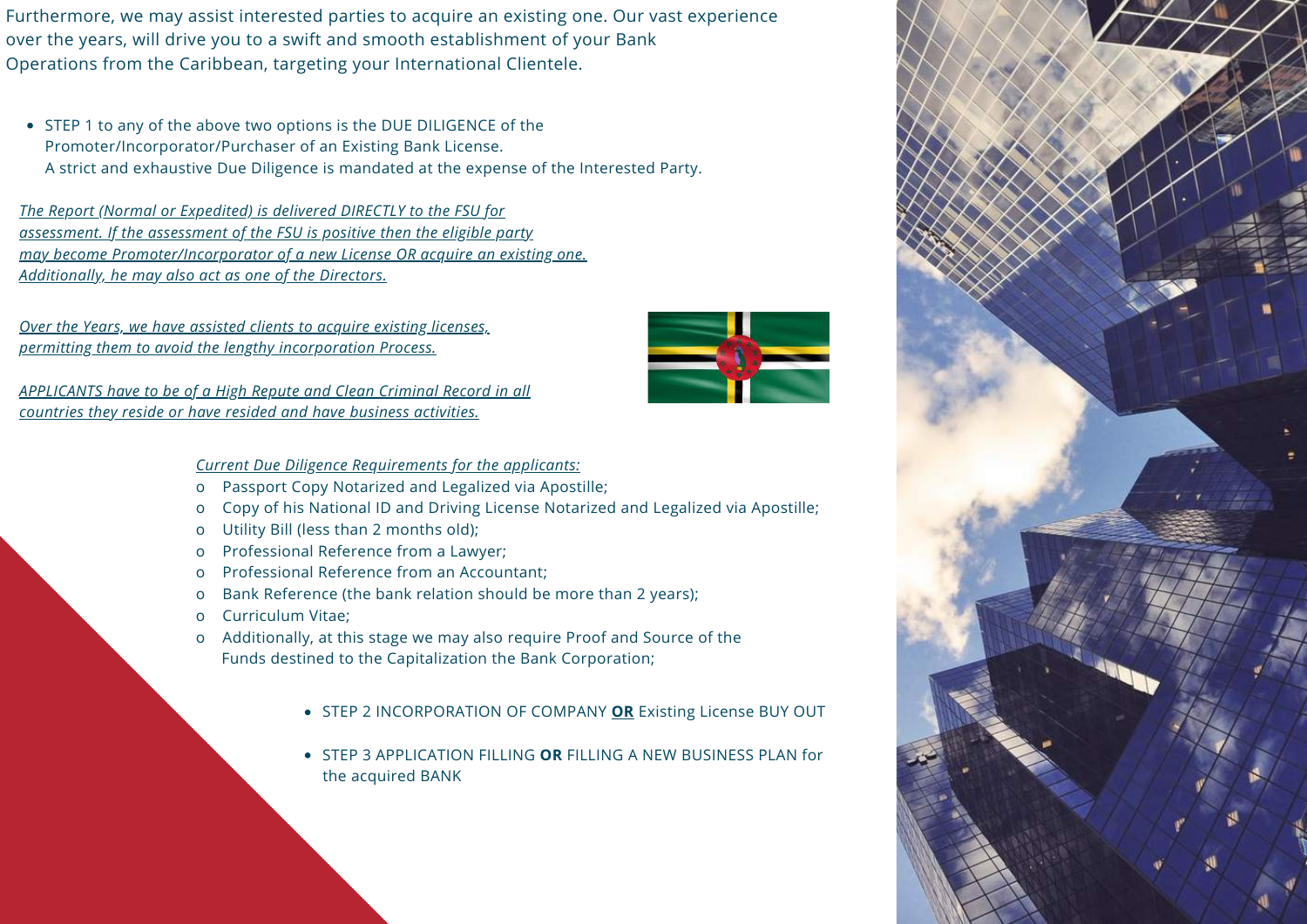Furthermore, we may assist interested parties to acquire an existing one. Our vast experience over the years, will drive you to a swift and smooth establishment of your Bank Operations from the Caribbean, targeting your International Clientele.

• STEP 1 to any of the above two options is the DUE DILIGENCE of the Promoter/Incorporator/Purchaser of an Existing Bank License. A strict and exhaustive Due Diligence is mandated at the expense of the Interested Party.

*The Report (Normal or Expedited) is delivered DIRECTLY to the FSU for assessment. If the assessment of the FSU is positive then the eligible party may become Promoter/Incorporator of a new License OR acquire an existing one. Additionally, he may also act as one of the Directors.*

*Over the Years, we have assisted clients to acquire existing licenses, permitting them to avoid the lengthy incorporation Process.*

*APPLICANTS have to be of a High Repute and Clean Criminal Record in all countries they reside or have resided and have business activities.*

#### *Current Due Diligence Requirements for the applicants:*

- o Passport Copy Notarized and Legalized via Apostille;
- o Copy of his National ID and Driving License Notarized and Legalized via Apostille;
- o Utility Bill (less than 2 months old);
- o Professional Reference from a Lawyer;
- o Professional Reference from an Accountant;
- o Bank Reference (the bank relation should be more than 2 years);
- o Curriculum Vitae;
- o Additionally, at this stage we may also require Proof and Source of the Funds destined to the Capitalization the Bank Corporation;
	- STEP 2 INCORPORATION OF COMPANY **OR** Existing License BUY OUT
	- STEP 3 APPLICATION FILLING **OR** FILLING A NEW BUSINESS PLAN for the acquired BANK



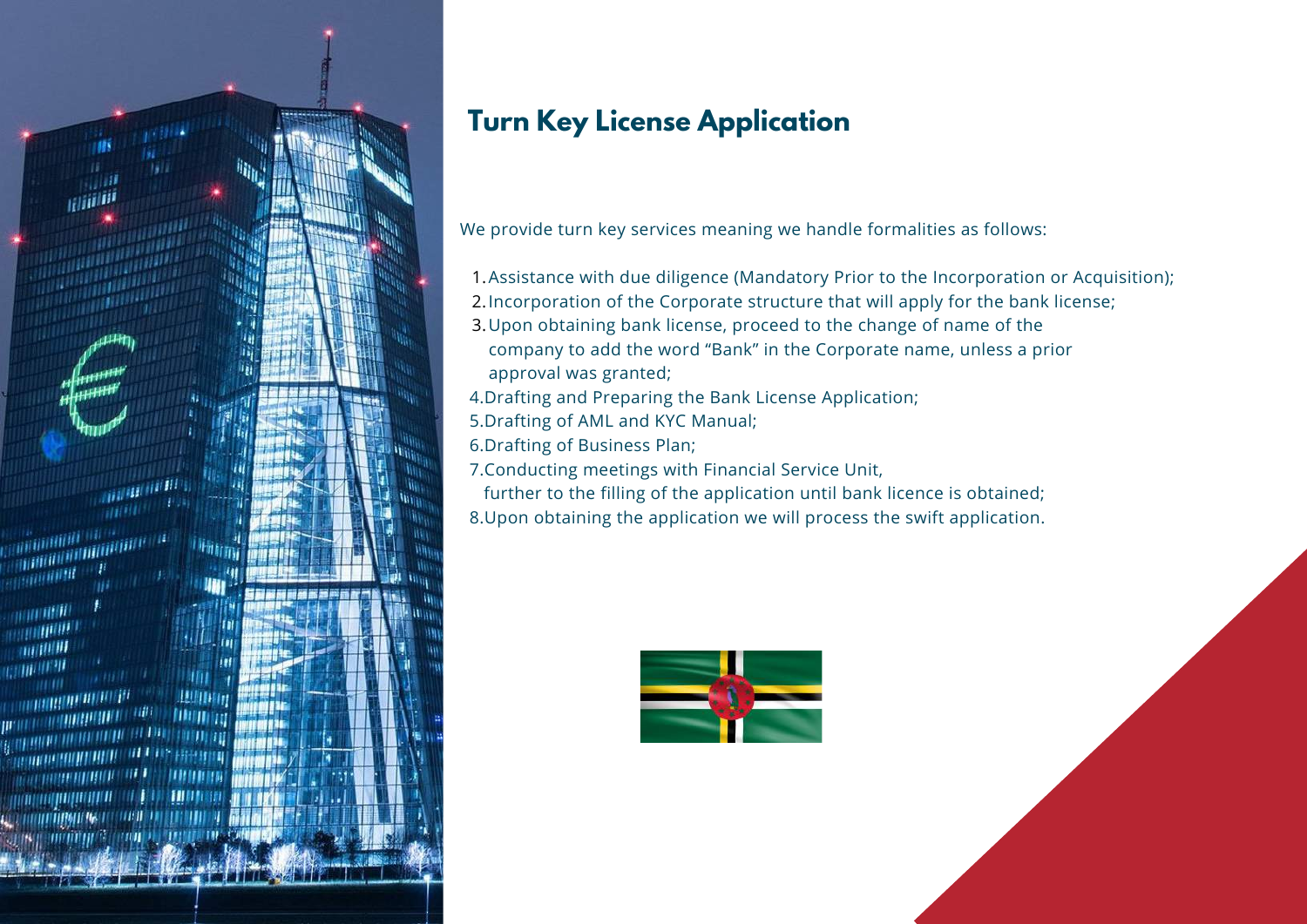

### **Turn Key License Application**

We provide turn key services meaning we handle formalities as follows:

- Assistance with due diligence (Mandatory Prior to the Incorporation or Acquisition); 1.
- Incorporation of the Corporate structure that will apply for the bank license; 2.
- 3. Upon obtaining bank license, proceed to the change of name of the company to add the word "Bank" in the Corporate name, unless a prior approval was granted;
- 4.Drafting and Preparing the Bank License Application;
- 5.Drafting of AML and KYC Manual;
- 6.Drafting of Business Plan;
- 7.Conducting meetings with Financial Service Unit,
- further to the filling of the application until bank licence is obtained;
- 8.Upon obtaining the application we will process the swift application.